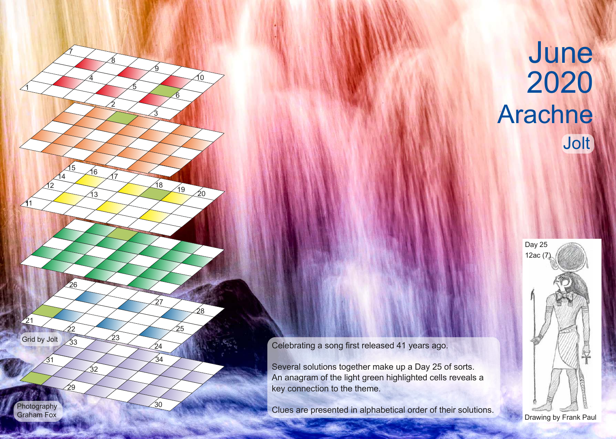

## June Arachne Jolt



Celebrating a song first released 41 years ago.

Several solutions together make up a Day 25 of sorts. An anagram of the light green highlighted cells reveals a key connection to the theme.

Clues are presented in alphabetical order of their solutions.